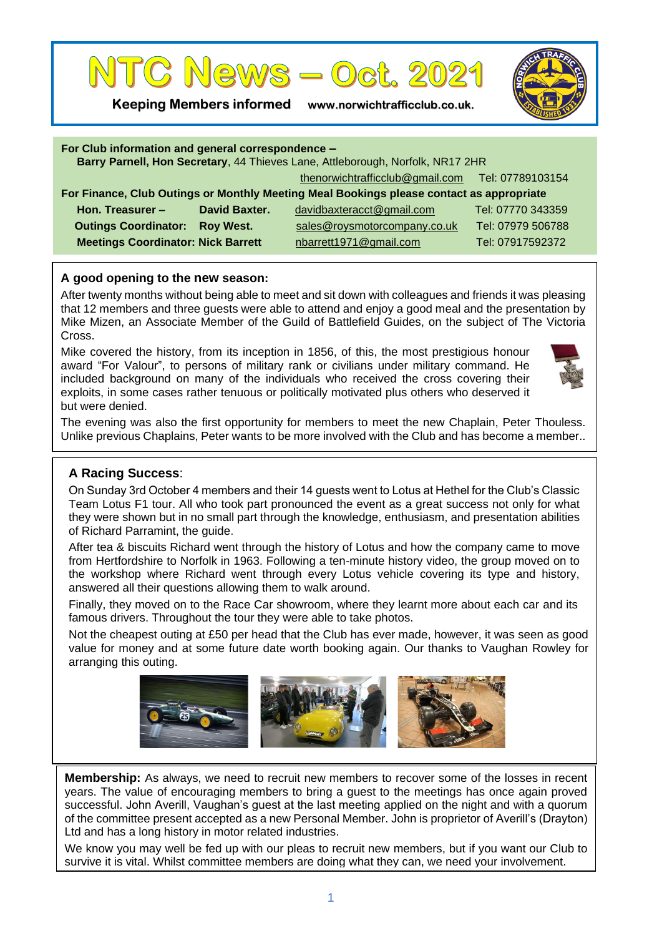

**Keeping Members informed www.norwichtrafficclub.co.uk.**



| For Club information and general correspondence -<br>Barry Parnell, Hon Secretary, 44 Thieves Lane, Attleborough, Norfolk, NR17 2HR |                  |                                                  |                   |
|-------------------------------------------------------------------------------------------------------------------------------------|------------------|--------------------------------------------------|-------------------|
|                                                                                                                                     |                  | thenorwichtrafficclub@gmail.com Tel: 07789103154 |                   |
| For Finance, Club Outings or Monthly Meeting Meal Bookings please contact as appropriate                                            |                  |                                                  |                   |
| Hon. Treasurer $-$                                                                                                                  | David Baxter.    | davidbaxteracct@gmail.com                        | Tel: 07770 343359 |
| <b>Outings Coordinator:</b>                                                                                                         | <b>Roy West.</b> | sales@roysmotorcompany.co.uk                     | Tel: 07979 506788 |
| <b>Meetings Coordinator: Nick Barrett</b>                                                                                           |                  | nbarrett1971@gmail.com                           | Tel: 07917592372  |
|                                                                                                                                     |                  |                                                  |                   |

## **A good opening to the new season:**

After twenty months without being able to meet and sit down with colleagues and friends it was pleasing that 12 members and three guests were able to attend and enjoy a good meal and the presentation by Mike Mizen, an Associate Member of the Guild of Battlefield Guides, on the subject of The Victoria Cross.

Mike covered the history, from its inception in 1856, of this, the most prestigious honour award "For Valour", to persons of military rank or civilians under military command. He included background on many of the individuals who received the cross covering their exploits, in some cases rather tenuous or politically motivated plus others who deserved it but were denied.



The evening was also the first opportunity for members to meet the new Chaplain, Peter Thouless. Unlike previous Chaplains, Peter wants to be more involved with the Club and has become a member..

## **A Racing Success**:

On Sunday 3rd October 4 members and their 14 guests went to Lotus at Hethel for the Club's Classic Team Lotus F1 tour. All who took part pronounced the event as a great success not only for what they were shown but in no small part through the knowledge, enthusiasm, and presentation abilities of Richard Parramint, the guide.

After tea & biscuits Richard went through the history of Lotus and how the company came to move from Hertfordshire to Norfolk in 1963. Following a ten-minute history video, the group moved on to the workshop where Richard went through every Lotus vehicle covering its type and history, answered all their questions allowing them to walk around.

Finally, they moved on to the Race Car showroom, where they learnt more about each car and its famous drivers. Throughout the tour they were able to take photos.

Not the cheapest outing at £50 per head that the Club has ever made, however, it was seen as good value for money and at some future date worth booking again. Our thanks to Vaughan Rowley for arranging this outing.



**Membership:** As always, we need to recruit new members to recover some of the losses in recent years. The value of encouraging members to bring a guest to the meetings has once again proved successful. John Averill, Vaughan's guest at the last meeting applied on the night and with a quorum of the committee present accepted as a new Personal Member. John is proprietor of Averill's (Drayton) Ltd and has a long history in motor related industries.

We know you may well be fed up with our pleas to recruit new members, but if you want our Club to survive it is vital. Whilst committee members are doing what they can, we need your involvement.